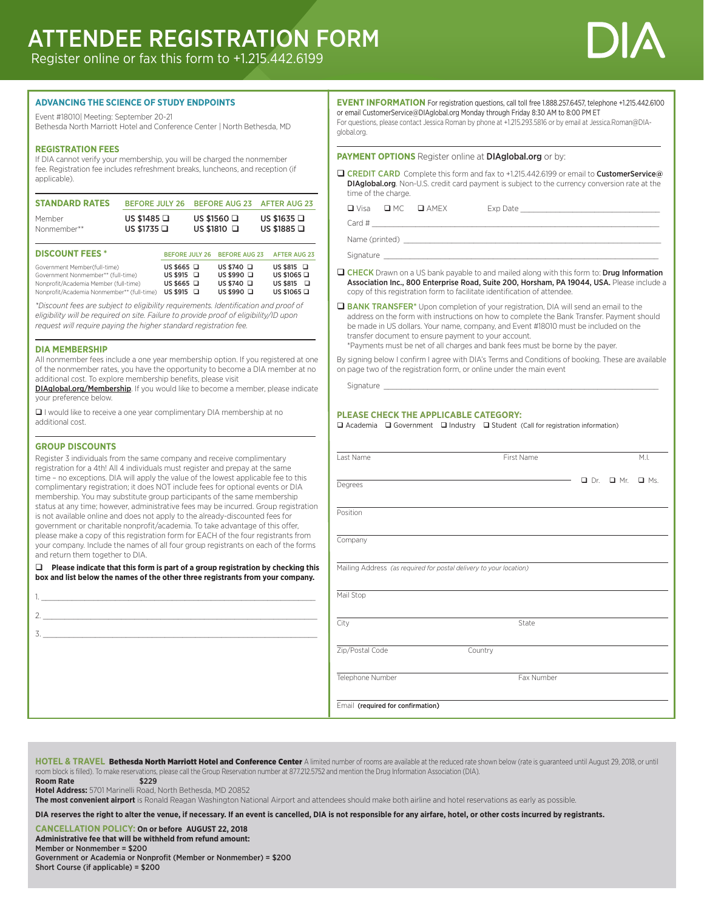# ATTENDEE REGISTRATION FORM

Register online or fax this form to +1.215.442.6199



#### **ADVANCING THE SCIENCE OF STUDY ENDPOINTS**

Event #18010| Meeting: September 20-21

Bethesda North Marriott Hotel and Conference Center | North Bethesda, MD

#### **REGISTRATION FEES**

If DIA cannot verify your membership, you will be charged the nonmember fee. Registration fee includes refreshment breaks, luncheons, and reception (if applicable).

| <b>STANDARD RATES</b> | <b>BEFORE JULY 26</b>                                                        | BEFORE AUG 23 AFTER AUG 23 |                     |  |  |  |                                      |
|-----------------------|------------------------------------------------------------------------------|----------------------------|---------------------|--|--|--|--------------------------------------|
| Member<br>Nonmember** | US \$1485 $\Box$<br>US \$1560 $\Box$<br>US \$1810 $\Box$<br>US \$1735 $\Box$ |                            |                     |  |  |  | US \$1635 $\Box$<br>US \$1885 $\Box$ |
| <b>DISCOUNT FEES*</b> | <b>BEFORE JULY 26</b>                                                        | <b>BEFORE AUG 23</b>       | <b>AFTER AUG 23</b> |  |  |  |                                      |

| DISCOUNT FEES                                                                                                                                             |                                                                              | BEFORE JULY ZB BEFORE AUG Z3                                             | AFIER AUG ZS                                                                 |
|-----------------------------------------------------------------------------------------------------------------------------------------------------------|------------------------------------------------------------------------------|--------------------------------------------------------------------------|------------------------------------------------------------------------------|
| Government Member(full-time)<br>Government Nonmember** (full-time)<br>Nonprofit/Academia Member (full-time)<br>Nonprofit/Academia Nonmember** (full-time) | US \$665 $\Box$<br>$US$ \$915 $\Box$<br>US \$665 $\Box$<br>$US$ \$915 $\Box$ | US \$740 $\Box$<br>US \$990 $\Box$<br>US \$740 $\Box$<br>US \$990 $\Box$ | US \$815 $\Box$<br>US \$1065 $\Box$<br>$US$ \$815 $\Box$<br>US \$1065 $\Box$ |
|                                                                                                                                                           |                                                                              |                                                                          |                                                                              |

*\*Discount fees are subject to eligibility requirements. Identification and proof of eligibility will be required on site. Failure to provide proof of eligibility/ID upon request will require paying the higher standard registration fee.*

#### **DIA MEMBERSHIP**

All nonmember fees include a one year membership option. If you registered at one of the nonmember rates, you have the opportunity to become a DIA member at no additional cost. To explore membership benefits, please visit

DIAglobal.org/Membership. If you would like to become a member, please indicate your preference below.

 $\Box$  I would like to receive a one year complimentary DIA membership at no additional cost.

#### **GROUP DISCOUNTS**

Register 3 individuals from the same company and receive complimentary registration for a 4th! All 4 individuals must register and prepay at the same time – no exceptions. DIA will apply the value of the lowest applicable fee to this complimentary registration; it does NOT include fees for optional events or DIA membership. You may substitute group participants of the same membership status at any time; however, administrative fees may be incurred. Group registration is not available online and does not apply to the already-discounted fees for government or charitable nonprofit/academia. To take advantage of this offer, please make a copy of this registration form for EACH of the four registrants from your company. Include the names of all four group registrants on each of the forms and return them together to DIA.

□ Please indicate that this form is part of a group registration by checking this **box and list below the names of the other three registrants from your company.**

| 1. All the contract of the contract of the contract of the contract of the contract of the contract of the contract of the contract of the contract of the contract of the contract of the contract of the contract of the con |  |  |
|--------------------------------------------------------------------------------------------------------------------------------------------------------------------------------------------------------------------------------|--|--|
|                                                                                                                                                                                                                                |  |  |
| $\frac{3}{2}$                                                                                                                                                                                                                  |  |  |
|                                                                                                                                                                                                                                |  |  |
|                                                                                                                                                                                                                                |  |  |
|                                                                                                                                                                                                                                |  |  |
|                                                                                                                                                                                                                                |  |  |
|                                                                                                                                                                                                                                |  |  |
|                                                                                                                                                                                                                                |  |  |

**EVENT INFORMATION** For registration questions, call toll free 1.888.257.6457, telephone +1.215.442.6100 or email CustomerService@DIAglobal.org Monday through Friday 8:30 AM to 8:00 PM ET For questions, please contact Jessica Roman by phone at +1.215.293.5816 or by email at Jessica.Roman@DIAglobal.org.

#### **PAYMENT OPTIONS** Register online at **DIAglobal.org** or by:

**Q CREDIT CARD** Complete this form and fax to +1.215.442.6199 or email to **CustomerService**@ DIAglobal.org. Non-U.S. credit card payment is subject to the currency conversion rate at the time of the charge.

q Visa q MC q AMEX Exp Date \_\_\_\_\_\_\_\_\_\_\_\_\_\_\_\_\_\_\_\_\_\_\_\_\_\_\_\_\_\_\_\_

Card # \_\_\_\_\_\_\_\_\_\_\_\_\_\_\_\_\_\_\_\_\_\_\_\_\_\_\_\_\_\_\_\_\_\_\_\_\_\_\_\_\_\_\_\_\_\_\_\_\_\_\_\_\_\_\_\_\_\_\_\_\_\_\_\_\_\_

Name (printed) \_\_

Signature \_

- **Q CHECK** Drawn on a US bank payable to and mailed along with this form to: Drug Information Association Inc., 800 Enterprise Road, Suite 200, Horsham, PA 19044, USA. Please include a copy of this registration form to facilitate identification of attendee.
- **Q BANK TRANSFER\*** Upon completion of your registration, DIA will send an email to the address on the form with instructions on how to complete the Bank Transfer. Payment should be made in US dollars. Your name, company, and Event #18010 must be included on the transfer document to ensure payment to your account.

\*Payments must be net of all charges and bank fees must be borne by the payer.

By signing below I confirm I agree with DIA's Terms and Conditions of booking. These are available on page two of the registration form, or online under the main event

Signature

#### **PLEASE CHECK THE APPLICABLE CATEGORY:**

 $\Box$  Academia  $\Box$  Government  $\Box$  Industry  $\Box$  Student (Call for registration information)

| Last Name                         | First Name                                                         |  |            | M.L.       |            |
|-----------------------------------|--------------------------------------------------------------------|--|------------|------------|------------|
| Degrees                           |                                                                    |  | $\Box$ Dr. | $\Box$ Mr. | $\Box$ Ms. |
| Position                          |                                                                    |  |            |            |            |
| Company                           |                                                                    |  |            |            |            |
|                                   | Mailing Address (as required for postal delivery to your location) |  |            |            |            |
| Mail Stop                         |                                                                    |  |            |            |            |
| City                              | State                                                              |  |            |            |            |
| Zip/Postal Code                   | Country                                                            |  |            |            |            |
| Telephone Number                  | Fax Number                                                         |  |            |            |            |
| Email (required for confirmation) |                                                                    |  |            |            |            |

HOTEL & TRAVEL Bethesda North Marriott Hotel and Conference Center A limited number of rooms are available at the reduced rate shown below (rate is guaranteed until August 29, 2018, or until room block is filled). To make reservations, please call the Group Reservation number at 877.212.5752 and mention the Drug Information Association (DIA).

**Room Rate** \$229

**Hotel Address:** 5701 Marinelli Road, North Bethesda, MD 20852

**The most convenient airport** is Ronald Reagan Washington National Airport and attendees should make both airline and hotel reservations as early as possible.

**DIA reserves the right to alter the venue, if necessary. If an event is cancelled, DIA is not responsible for any airfare, hotel, or other costs incurred by registrants.**

**CANCELLATION POLICY: On or before AUGUST 22, 2018**

**Administrative fee that will be withheld from refund amount:** Member or Nonmember = \$200 Government or Academia or Nonprofit (Member or Nonmember) = \$200

Short Course (if applicable) = \$200